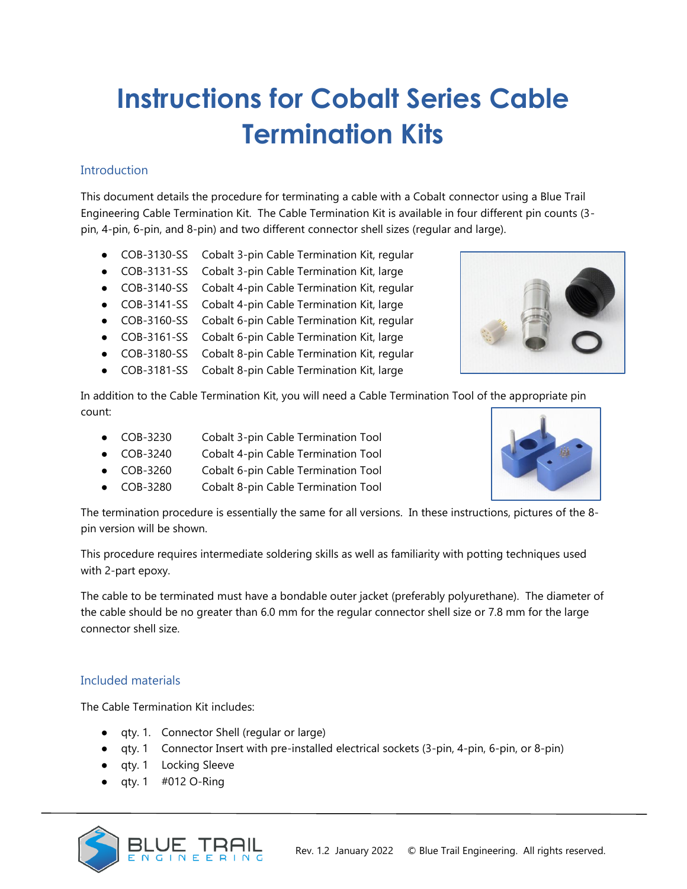# **Instructions for Cobalt Series Cable Termination Kits**

# **Introduction**

This document details the procedure for terminating a cable with a Cobalt connector using a Blue Trail Engineering Cable Termination Kit. The Cable Termination Kit is available in four different pin counts (3 pin, 4-pin, 6-pin, and 8-pin) and two different connector shell sizes (regular and large).

- COB-3130-SS Cobalt 3-pin Cable Termination Kit, regular
- COB-3131-SS Cobalt 3-pin Cable Termination Kit, large
- COB-3140-SS Cobalt 4-pin Cable Termination Kit, regular
- COB-3141-SS Cobalt 4-pin Cable Termination Kit, large
- COB-3160-SS Cobalt 6-pin Cable Termination Kit, regular
- COB-3161-SS Cobalt 6-pin Cable Termination Kit, large
- COB-3180-SS Cobalt 8-pin Cable Termination Kit, regular
- COB-3181-SS Cobalt 8-pin Cable Termination Kit, large

In addition to the Cable Termination Kit, you will need a Cable Termination Tool of the appropriate pin count:

- COB-3230 Cobalt 3-pin Cable Termination Tool
- COB-3240 Cobalt 4-pin Cable Termination Tool
- COB-3260 Cobalt 6-pin Cable Termination Tool
- COB-3280 Cobalt 8-pin Cable Termination Tool

The termination procedure is essentially the same for all versions. In these instructions, pictures of the 8 pin version will be shown.

This procedure requires intermediate soldering skills as well as familiarity with potting techniques used with 2-part epoxy.

The cable to be terminated must have a bondable outer jacket (preferably polyurethane). The diameter of the cable should be no greater than 6.0 mm for the regular connector shell size or 7.8 mm for the large connector shell size.

#### Included materials

The Cable Termination Kit includes:

- qty. 1. Connector Shell (regular or large)
- qty. 1 Connector Insert with pre-installed electrical sockets (3-pin, 4-pin, 6-pin, or 8-pin)
- qty. 1 Locking Sleeve
- $\bullet$  qty. 1 #012 O-Ring





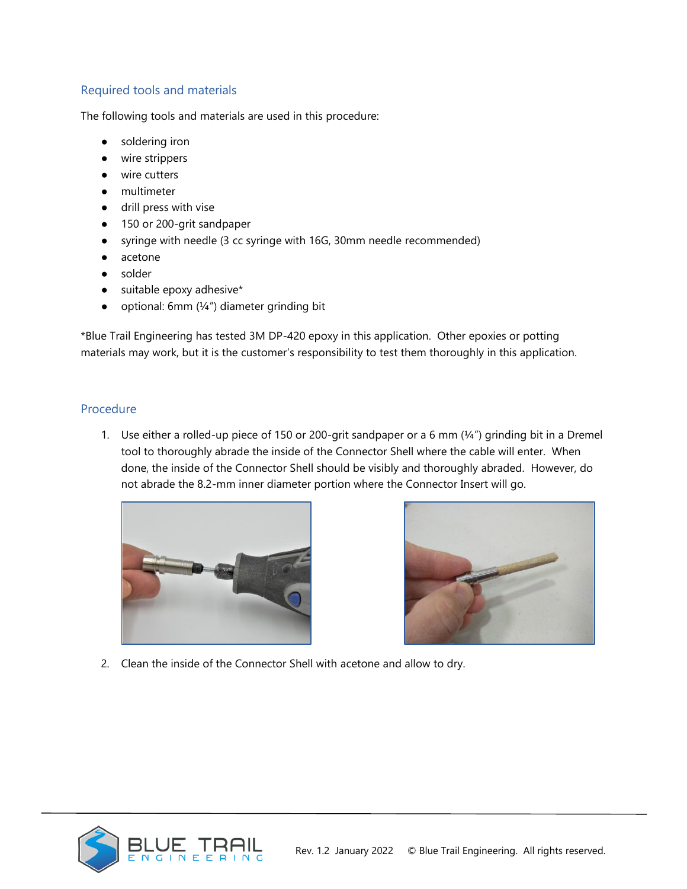# Required tools and materials

The following tools and materials are used in this procedure:

- soldering iron
- wire strippers
- wire cutters
- multimeter
- drill press with vise
- 150 or 200-grit sandpaper
- syringe with needle (3 cc syringe with 16G, 30mm needle recommended)
- acetone
- solder
- suitable epoxy adhesive\*
- $\bullet$  optional: 6mm ( $\frac{1}{4}$ ") diameter grinding bit

\*Blue Trail Engineering has tested 3M DP-420 epoxy in this application. Other epoxies or potting materials may work, but it is the customer's responsibility to test them thoroughly in this application.

# Procedure

1. Use either a rolled-up piece of 150 or 200-grit sandpaper or a 6 mm (¼") grinding bit in a Dremel tool to thoroughly abrade the inside of the Connector Shell where the cable will enter. When done, the inside of the Connector Shell should be visibly and thoroughly abraded. However, do not abrade the 8.2-mm inner diameter portion where the Connector Insert will go.





2. Clean the inside of the Connector Shell with acetone and allow to dry.

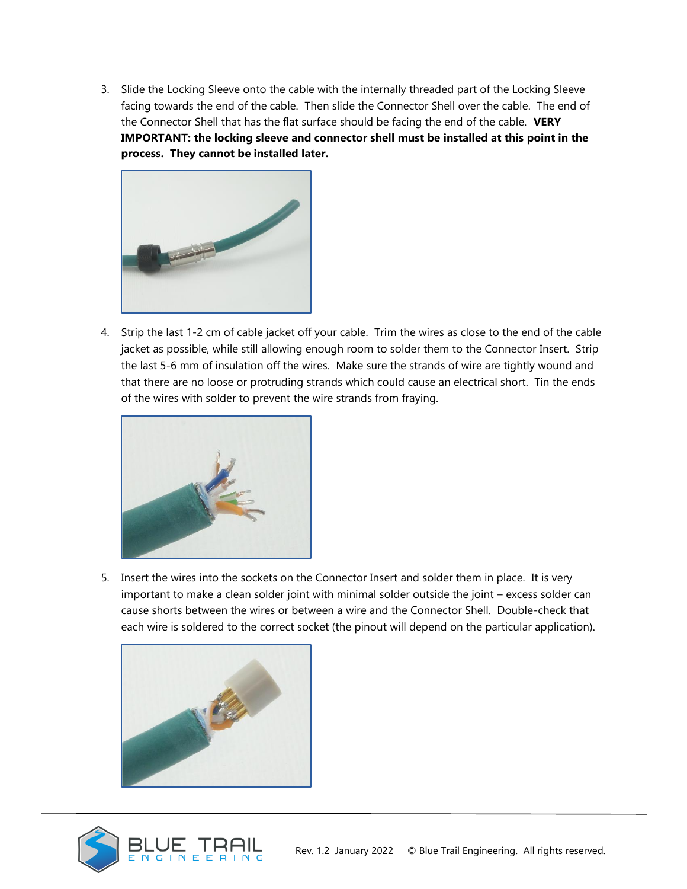3. Slide the Locking Sleeve onto the cable with the internally threaded part of the Locking Sleeve facing towards the end of the cable. Then slide the Connector Shell over the cable. The end of the Connector Shell that has the flat surface should be facing the end of the cable. **VERY IMPORTANT: the locking sleeve and connector shell must be installed at this point in the process. They cannot be installed later.** 



4. Strip the last 1-2 cm of cable jacket off your cable. Trim the wires as close to the end of the cable jacket as possible, while still allowing enough room to solder them to the Connector Insert. Strip the last 5-6 mm of insulation off the wires. Make sure the strands of wire are tightly wound and that there are no loose or protruding strands which could cause an electrical short. Tin the ends of the wires with solder to prevent the wire strands from fraying.



5. Insert the wires into the sockets on the Connector Insert and solder them in place. It is very important to make a clean solder joint with minimal solder outside the joint – excess solder can cause shorts between the wires or between a wire and the Connector Shell. Double-check that each wire is soldered to the correct socket (the pinout will depend on the particular application).



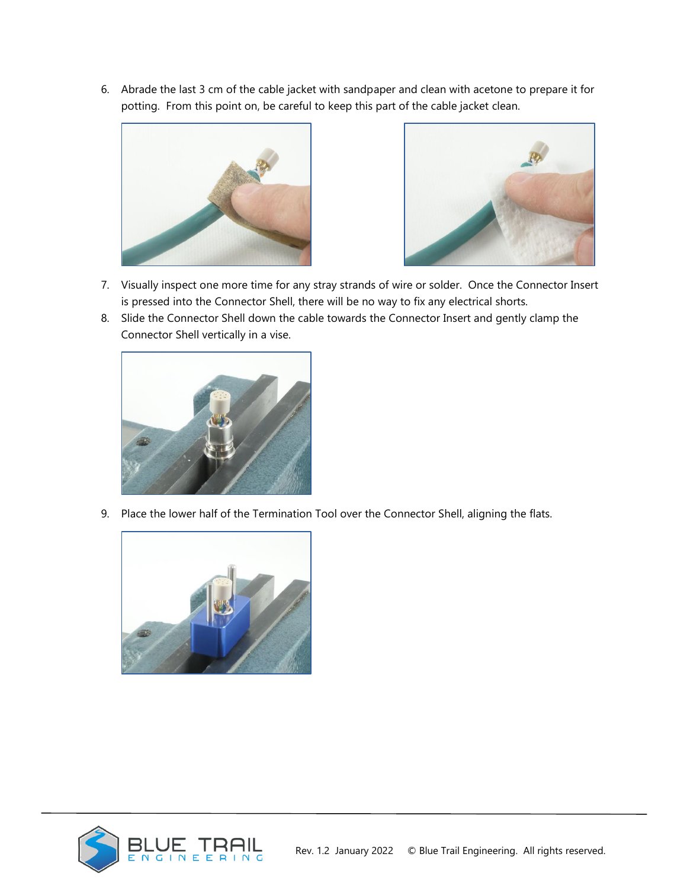6. Abrade the last 3 cm of the cable jacket with sandpaper and clean with acetone to prepare it for potting. From this point on, be careful to keep this part of the cable jacket clean.





- 7. Visually inspect one more time for any stray strands of wire or solder. Once the Connector Insert is pressed into the Connector Shell, there will be no way to fix any electrical shorts.
- 8. Slide the Connector Shell down the cable towards the Connector Insert and gently clamp the Connector Shell vertically in a vise.



9. Place the lower half of the Termination Tool over the Connector Shell, aligning the flats.



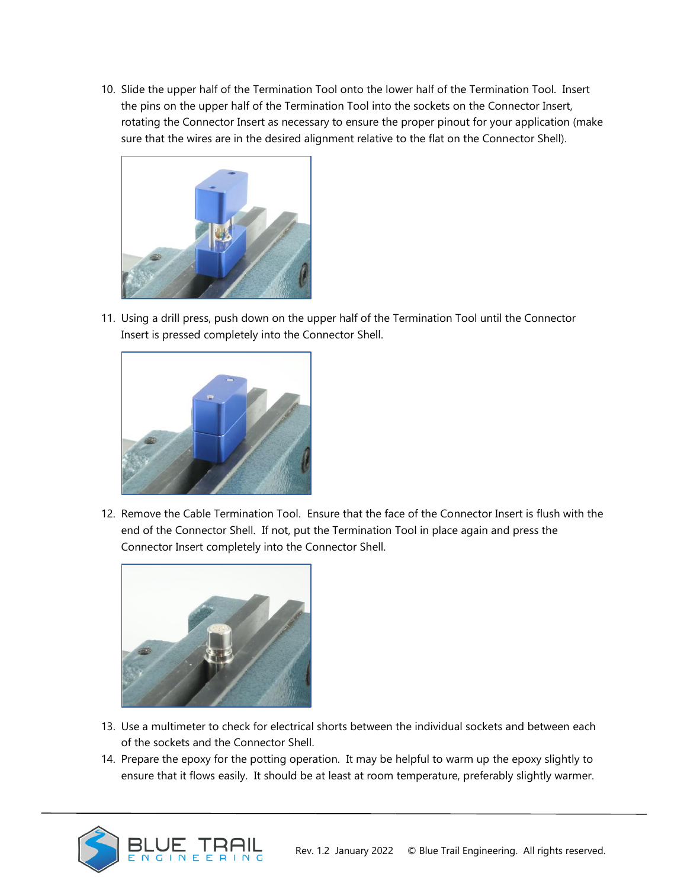10. Slide the upper half of the Termination Tool onto the lower half of the Termination Tool. Insert the pins on the upper half of the Termination Tool into the sockets on the Connector Insert, rotating the Connector Insert as necessary to ensure the proper pinout for your application (make sure that the wires are in the desired alignment relative to the flat on the Connector Shell).



11. Using a drill press, push down on the upper half of the Termination Tool until the Connector Insert is pressed completely into the Connector Shell.



12. Remove the Cable Termination Tool. Ensure that the face of the Connector Insert is flush with the end of the Connector Shell. If not, put the Termination Tool in place again and press the Connector Insert completely into the Connector Shell.



- 13. Use a multimeter to check for electrical shorts between the individual sockets and between each of the sockets and the Connector Shell.
- 14. Prepare the epoxy for the potting operation. It may be helpful to warm up the epoxy slightly to ensure that it flows easily. It should be at least at room temperature, preferably slightly warmer.

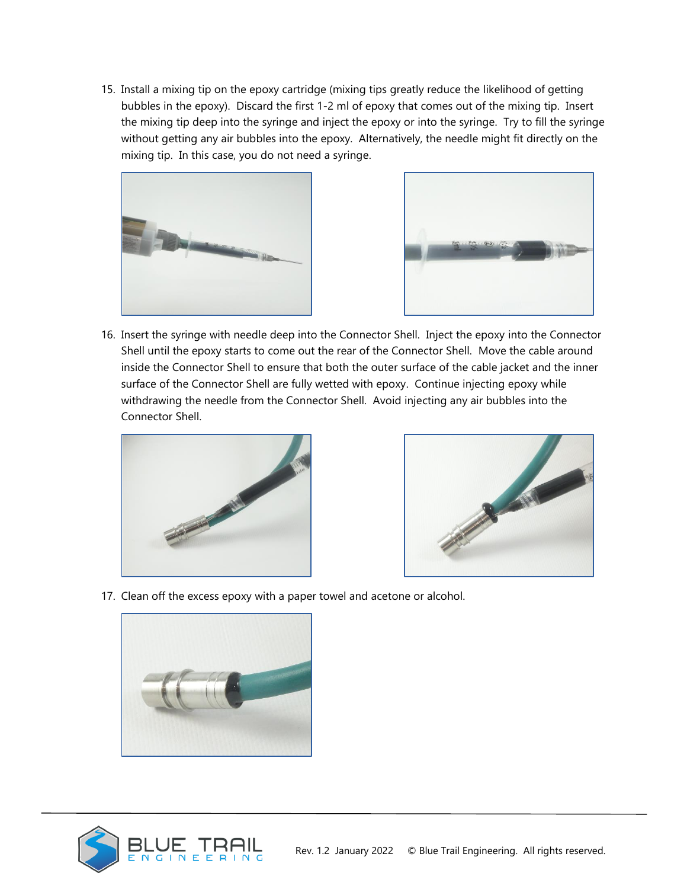15. Install a mixing tip on the epoxy cartridge (mixing tips greatly reduce the likelihood of getting bubbles in the epoxy). Discard the first 1-2 ml of epoxy that comes out of the mixing tip. Insert the mixing tip deep into the syringe and inject the epoxy or into the syringe. Try to fill the syringe without getting any air bubbles into the epoxy. Alternatively, the needle might fit directly on the mixing tip. In this case, you do not need a syringe.





16. Insert the syringe with needle deep into the Connector Shell. Inject the epoxy into the Connector Shell until the epoxy starts to come out the rear of the Connector Shell. Move the cable around inside the Connector Shell to ensure that both the outer surface of the cable jacket and the inner surface of the Connector Shell are fully wetted with epoxy. Continue injecting epoxy while withdrawing the needle from the Connector Shell. Avoid injecting any air bubbles into the Connector Shell.





17. Clean off the excess epoxy with a paper towel and acetone or alcohol.



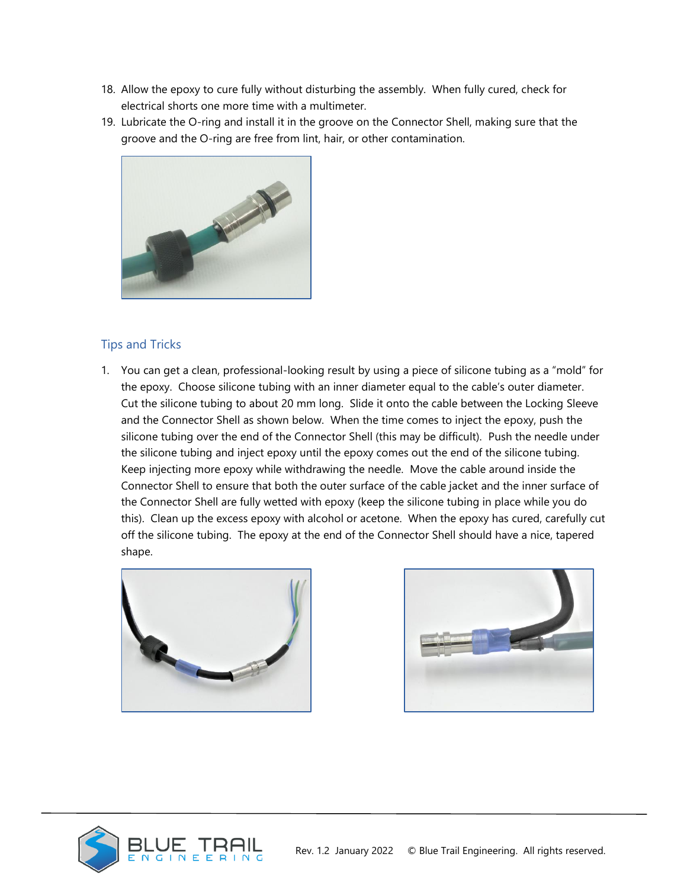- 18. Allow the epoxy to cure fully without disturbing the assembly. When fully cured, check for electrical shorts one more time with a multimeter.
- 19. Lubricate the O-ring and install it in the groove on the Connector Shell, making sure that the groove and the O-ring are free from lint, hair, or other contamination.



## Tips and Tricks

1. You can get a clean, professional-looking result by using a piece of silicone tubing as a "mold" for the epoxy. Choose silicone tubing with an inner diameter equal to the cable's outer diameter. Cut the silicone tubing to about 20 mm long. Slide it onto the cable between the Locking Sleeve and the Connector Shell as shown below. When the time comes to inject the epoxy, push the silicone tubing over the end of the Connector Shell (this may be difficult). Push the needle under the silicone tubing and inject epoxy until the epoxy comes out the end of the silicone tubing. Keep injecting more epoxy while withdrawing the needle. Move the cable around inside the Connector Shell to ensure that both the outer surface of the cable jacket and the inner surface of the Connector Shell are fully wetted with epoxy (keep the silicone tubing in place while you do this). Clean up the excess epoxy with alcohol or acetone. When the epoxy has cured, carefully cut off the silicone tubing. The epoxy at the end of the Connector Shell should have a nice, tapered shape.